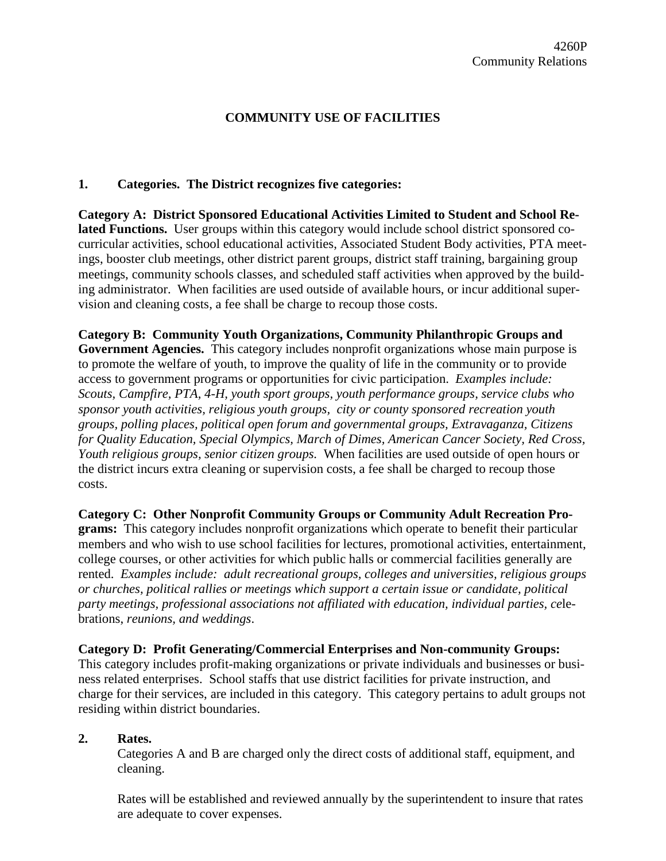# **COMMUNITY USE OF FACILITIES**

### **1. Categories. The District recognizes five categories:**

**Category A: District Sponsored Educational Activities Limited to Student and School Related Functions.** User groups within this category would include school district sponsored cocurricular activities, school educational activities, Associated Student Body activities, PTA meetings, booster club meetings, other district parent groups, district staff training, bargaining group meetings, community schools classes, and scheduled staff activities when approved by the building administrator. When facilities are used outside of available hours, or incur additional supervision and cleaning costs, a fee shall be charge to recoup those costs.

**Category B: Community Youth Organizations, Community Philanthropic Groups and Government Agencies.** This category includes nonprofit organizations whose main purpose is to promote the welfare of youth, to improve the quality of life in the community or to provide access to government programs or opportunities for civic participation. *Examples include: Scouts, Campfire, PTA, 4-H, youth sport groups, youth performance groups, service clubs who sponsor youth activities, religious youth groups, city or county sponsored recreation youth groups, polling places, political open forum and governmental groups, Extravaganza, Citizens for Quality Education, Special Olympics, March of Dimes, American Cancer Society, Red Cross, Youth religious groups, senior citizen groups.* When facilities are used outside of open hours or the district incurs extra cleaning or supervision costs, a fee shall be charged to recoup those costs.

**Category C: Other Nonprofit Community Groups or Community Adult Recreation Programs:** This category includes nonprofit organizations which operate to benefit their particular members and who wish to use school facilities for lectures, promotional activities, entertainment, college courses, or other activities for which public halls or commercial facilities generally are rented. *Examples include: adult recreational groups, colleges and universities, religious groups or churches, political rallies or meetings which support a certain issue or candidate, political party meetings, professional associations not affiliated with education, individual parties, ce*lebrations, *reunions, and weddings*.

#### **Category D: Profit Generating/Commercial Enterprises and Non-community Groups:**

This category includes profit-making organizations or private individuals and businesses or business related enterprises. School staffs that use district facilities for private instruction, and charge for their services, are included in this category. This category pertains to adult groups not residing within district boundaries.

#### **2. Rates.**

Categories A and B are charged only the direct costs of additional staff, equipment, and cleaning.

Rates will be established and reviewed annually by the superintendent to insure that rates are adequate to cover expenses.